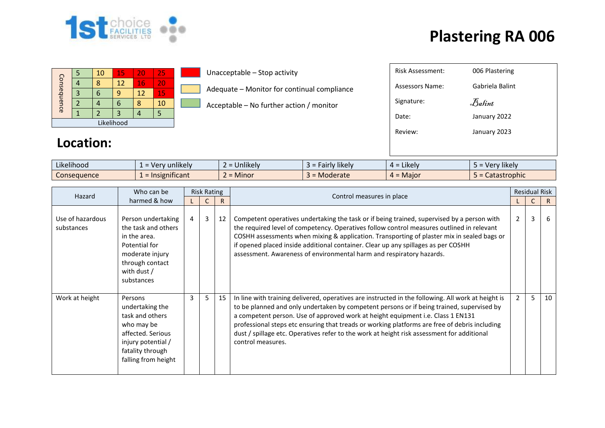

## **Plastering RA 006**

|             |  | 10 | 15 | 20 | 25 |  |  |  |  |
|-------------|--|----|----|----|----|--|--|--|--|
|             |  |    | 12 | 16 | 20 |  |  |  |  |
|             |  |    | q  | 12 | 15 |  |  |  |  |
| Consequence |  |    | п  |    | 10 |  |  |  |  |
|             |  |    |    |    |    |  |  |  |  |
| Likelihood  |  |    |    |    |    |  |  |  |  |

Unacceptable – Stop activity

Adequate – Monitor for continual compliance

Acceptable – No further action / monitor

| <b>Risk Assessment:</b> | 006 Plastering  |
|-------------------------|-----------------|
| Assessors Name:         | Gabriela Balint |
| Signature:              | Balint          |
| Date:                   | January 2022    |
| Review:                 | January 2023    |
|                         |                 |
|                         |                 |

## **Location:**

| $\cdots$<br>$\cdots$<br>Likelihood | v unlikely v<br>-ver   | $\cdots$<br>$\sim$<br><b>Jnlikely</b><br>- | cairly likely<br>- - - - - | $\cdots$<br>$4 =$ Likely | Verv likelv  |
|------------------------------------|------------------------|--------------------------------------------|----------------------------|--------------------------|--------------|
| Consequence                        | .<br>$=$ Insignificant | A<br>$\sim$<br><b>Minor</b>                | Moderate                   | $4 =$ Major              | Catastrophic |

| Who can be<br>Hazard           |                                                                                                                                                   | <b>Risk Rating</b> |   |    | Control measures in place                                                                                                                                                                                                                                                                                                                                                                                                                                                                              |             | <b>Residual Risk</b> |    |
|--------------------------------|---------------------------------------------------------------------------------------------------------------------------------------------------|--------------------|---|----|--------------------------------------------------------------------------------------------------------------------------------------------------------------------------------------------------------------------------------------------------------------------------------------------------------------------------------------------------------------------------------------------------------------------------------------------------------------------------------------------------------|-------------|----------------------|----|
|                                | harmed & how                                                                                                                                      |                    |   | R  |                                                                                                                                                                                                                                                                                                                                                                                                                                                                                                        |             |                      | R. |
| Use of hazardous<br>substances | Person undertaking<br>the task and others<br>in the area.<br>Potential for<br>moderate injury<br>through contact<br>with dust /<br>substances     | $\overline{4}$     | 3 | 12 | Competent operatives undertaking the task or if being trained, supervised by a person with<br>the required level of competency. Operatives follow control measures outlined in relevant<br>COSHH assessments when mixing & application. Transporting of plaster mix in sealed bags or<br>if opened placed inside additional container. Clear up any spillages as per COSHH<br>assessment. Awareness of environmental harm and respiratory hazards.                                                     | $2^{\circ}$ | 3                    | 6  |
| Work at height                 | Persons<br>undertaking the<br>task and others<br>who may be<br>affected. Serious<br>injury potential /<br>fatality through<br>falling from height | 3                  | 5 | 15 | In line with training delivered, operatives are instructed in the following. All work at height is<br>to be planned and only undertaken by competent persons or if being trained, supervised by<br>a competent person. Use of approved work at height equipment i.e. Class 1 EN131<br>professional steps etc ensuring that treads or working platforms are free of debris including<br>dust / spillage etc. Operatives refer to the work at height risk assessment for additional<br>control measures. | $2^{\circ}$ | 5                    | 10 |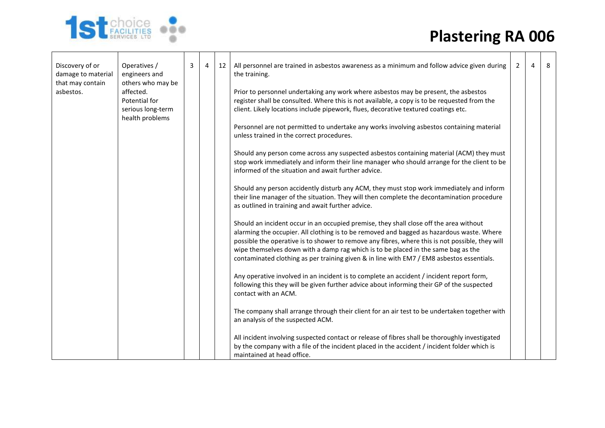## **Plastering RA 006**



| Discovery of or<br>damage to material<br>that may contain | Operatives /<br>engineers and<br>others who may be                 | 3 | $\overline{4}$ | 12 | All personnel are trained in asbestos awareness as a minimum and follow advice given during<br>the training.                                                                                                                                                                                                                                                                                                                                                             | 2 | 4 | 8 |
|-----------------------------------------------------------|--------------------------------------------------------------------|---|----------------|----|--------------------------------------------------------------------------------------------------------------------------------------------------------------------------------------------------------------------------------------------------------------------------------------------------------------------------------------------------------------------------------------------------------------------------------------------------------------------------|---|---|---|
| asbestos.                                                 | affected.<br>Potential for<br>serious long-term<br>health problems |   |                |    | Prior to personnel undertaking any work where asbestos may be present, the asbestos<br>register shall be consulted. Where this is not available, a copy is to be requested from the<br>client. Likely locations include pipework, flues, decorative textured coatings etc.                                                                                                                                                                                               |   |   |   |
|                                                           |                                                                    |   |                |    | Personnel are not permitted to undertake any works involving asbestos containing material<br>unless trained in the correct procedures.                                                                                                                                                                                                                                                                                                                                   |   |   |   |
|                                                           |                                                                    |   |                |    | Should any person come across any suspected asbestos containing material (ACM) they must<br>stop work immediately and inform their line manager who should arrange for the client to be<br>informed of the situation and await further advice.                                                                                                                                                                                                                           |   |   |   |
|                                                           |                                                                    |   |                |    | Should any person accidently disturb any ACM, they must stop work immediately and inform<br>their line manager of the situation. They will then complete the decontamination procedure<br>as outlined in training and await further advice.                                                                                                                                                                                                                              |   |   |   |
|                                                           |                                                                    |   |                |    | Should an incident occur in an occupied premise, they shall close off the area without<br>alarming the occupier. All clothing is to be removed and bagged as hazardous waste. Where<br>possible the operative is to shower to remove any fibres, where this is not possible, they will<br>wipe themselves down with a damp rag which is to be placed in the same bag as the<br>contaminated clothing as per training given & in line with EM7 / EM8 asbestos essentials. |   |   |   |
|                                                           |                                                                    |   |                |    | Any operative involved in an incident is to complete an accident / incident report form,<br>following this they will be given further advice about informing their GP of the suspected<br>contact with an ACM.                                                                                                                                                                                                                                                           |   |   |   |
|                                                           |                                                                    |   |                |    | The company shall arrange through their client for an air test to be undertaken together with<br>an analysis of the suspected ACM.                                                                                                                                                                                                                                                                                                                                       |   |   |   |
|                                                           |                                                                    |   |                |    | All incident involving suspected contact or release of fibres shall be thoroughly investigated<br>by the company with a file of the incident placed in the accident / incident folder which is<br>maintained at head office.                                                                                                                                                                                                                                             |   |   |   |